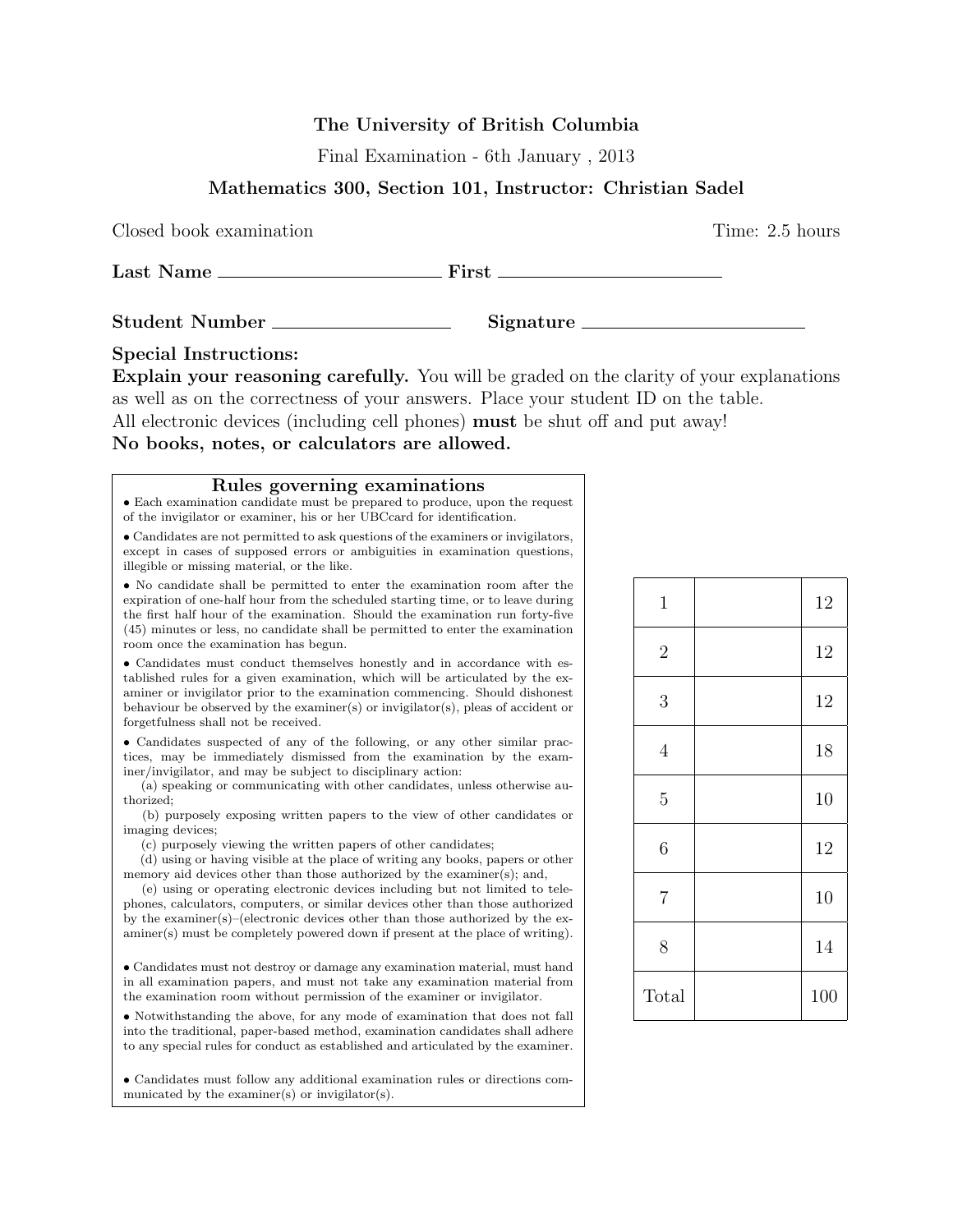## The University of British Columbia

Final Examination - 6th January , 2013

## Mathematics 300, Section 101, Instructor: Christian Sadel

Closed book examination Time: 2.5 hours

| Last N |  |
|--------|--|
|        |  |

Student Number Signature

## Special Instructions:

Explain your reasoning carefully. You will be graded on the clarity of your explanations as well as on the correctness of your answers. Place your student ID on the table. All electronic devices (including cell phones) **must** be shut off and put away! No books, notes, or calculators are allowed.

## Rules governing examinations

• Each examination candidate must be prepared to produce, upon the request of the invigilator or examiner, his or her UBCcard for identification.

• Candidates are not permitted to ask questions of the examiners or invigilators, except in cases of supposed errors or ambiguities in examination questions, illegible or missing material, or the like.

• No candidate shall be permitted to enter the examination room after the expiration of one-half hour from the scheduled starting time, or to leave during the first half hour of the examination. Should the examination run forty-five (45) minutes or less, no candidate shall be permitted to enter the examination room once the examination has begun.

• Candidates must conduct themselves honestly and in accordance with established rules for a given examination, which will be articulated by the examiner or invigilator prior to the examination commencing. Should dishonest behaviour be observed by the examiner(s) or invigilator(s), pleas of accident or forgetfulness shall not be received.

• Candidates suspected of any of the following, or any other similar practices, may be immediately dismissed from the examination by the examiner/invigilator, and may be subject to disciplinary action:

(a) speaking or communicating with other candidates, unless otherwise authorized;

(b) purposely exposing written papers to the view of other candidates or imaging devices;

(c) purposely viewing the written papers of other candidates;

(d) using or having visible at the place of writing any books, papers or other memory aid devices other than those authorized by the examiner(s); and,

(e) using or operating electronic devices including but not limited to telephones, calculators, computers, or similar devices other than those authorized by the examiner(s)–(electronic devices other than those authorized by the examiner(s) must be completely powered down if present at the place of writing).

• Candidates must not destroy or damage any examination material, must hand in all examination papers, and must not take any examination material from the examination room without permission of the examiner or invigilator.

• Notwithstanding the above, for any mode of examination that does not fall into the traditional, paper-based method, examination candidates shall adhere to any special rules for conduct as established and articulated by the examiner.

• Candidates must follow any additional examination rules or directions communicated by the examiner(s) or invigilator(s).

| $\mathbf{1}$   | 12  |
|----------------|-----|
| $\overline{2}$ | 12  |
| 3              | 12  |
| $\overline{4}$ | 18  |
| $\overline{5}$ | 10  |
| 6              | 12  |
| $\overline{7}$ | 10  |
| 8              | 14  |
| Total          | 100 |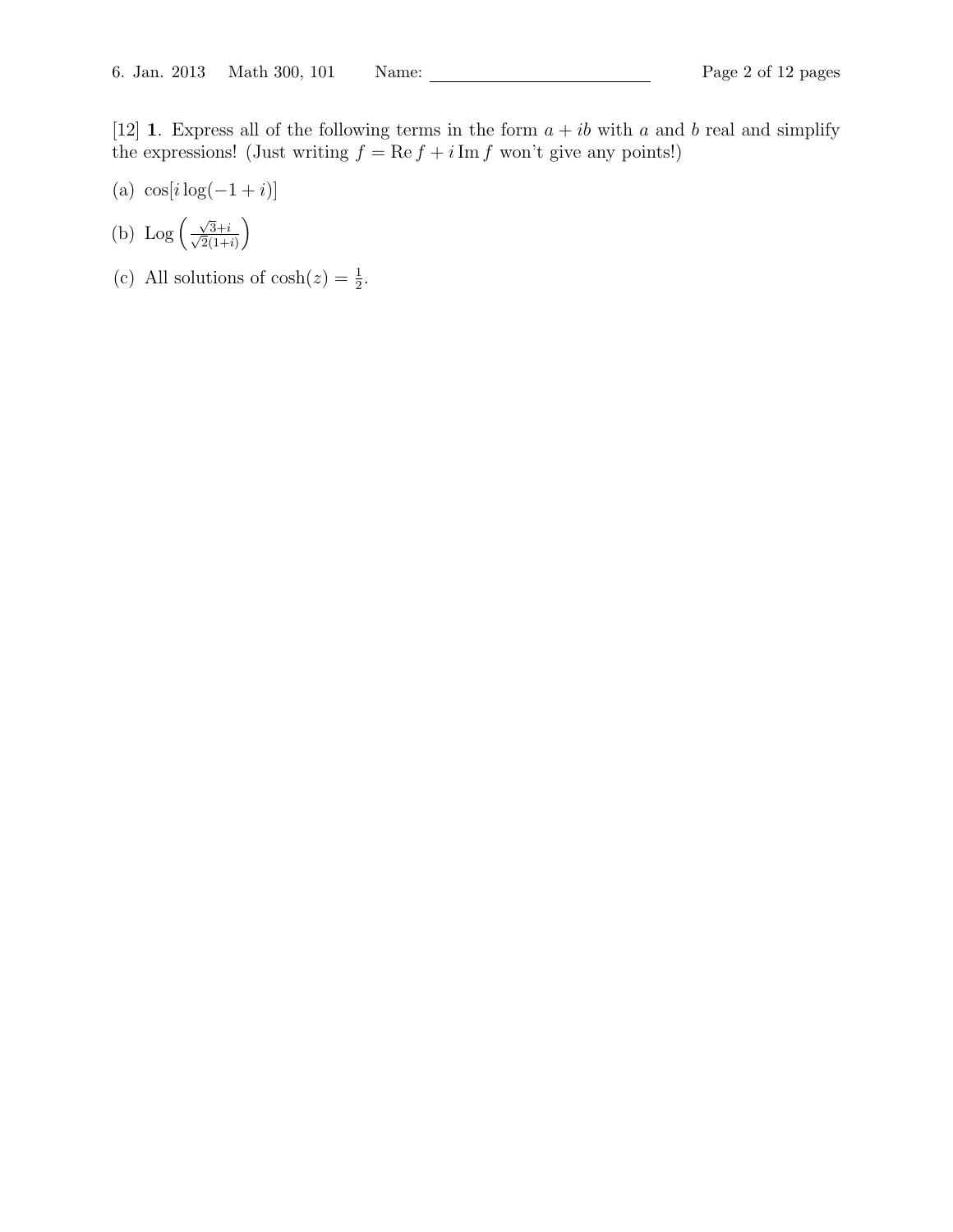[12] 1. Express all of the following terms in the form  $a + ib$  with a and b real and simplify the expressions! (Just writing  $f = \text{Re } f + i \text{Im } f$  won't give any points!)

- (a)  $\cos[i\log(-1+i)]$
- (b) Log  $\frac{\sqrt{3}+i}{\sqrt{2}(1+i)}$  $2(1+i)$  $\setminus$
- (c) All solutions of  $cosh(z) = \frac{1}{2}$ .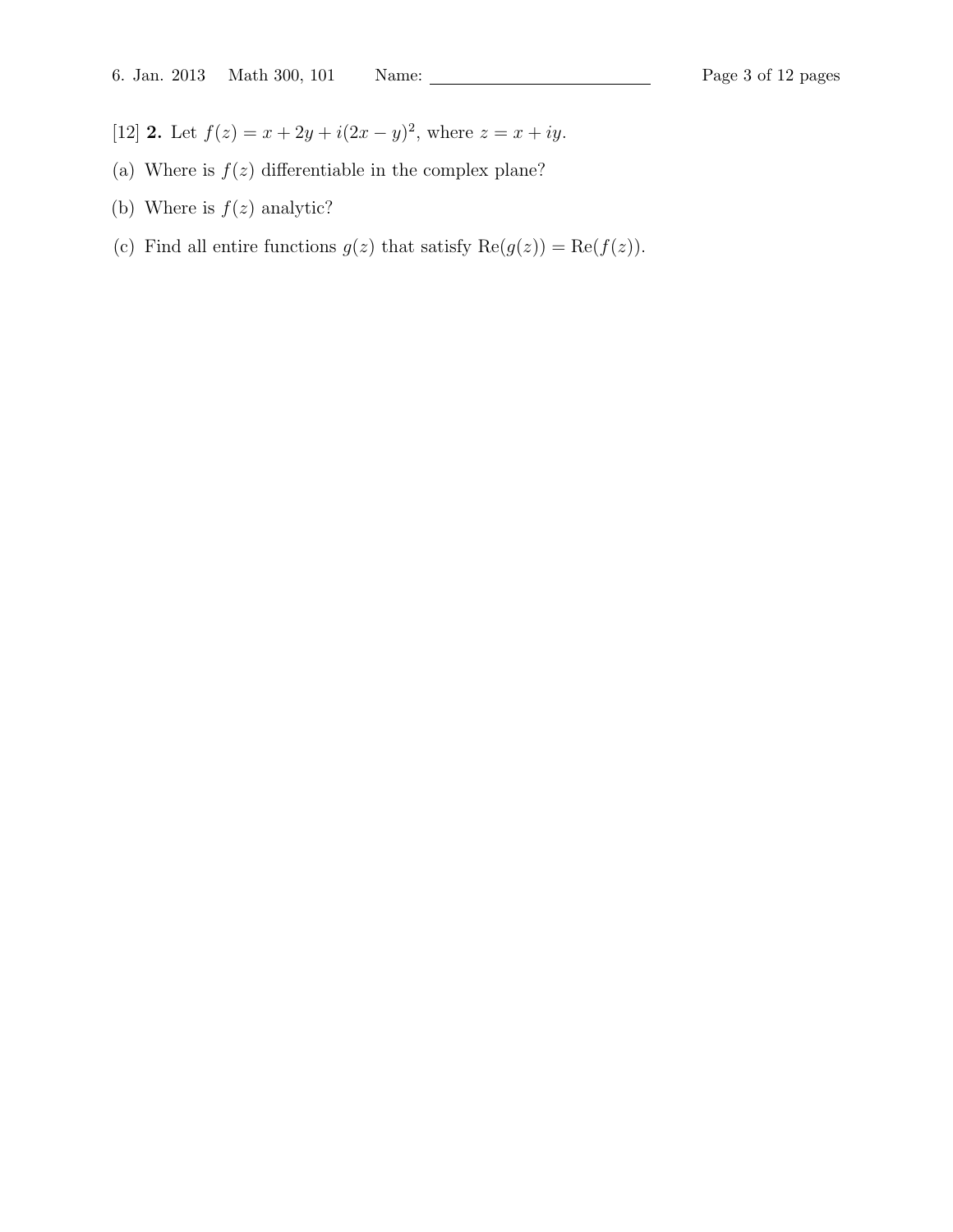- [12] **2.** Let  $f(z) = x + 2y + i(2x y)^2$ , where  $z = x + iy$ .
- (a) Where is  $f(z)$  differentiable in the complex plane?
- (b) Where is  $f(z)$  analytic?
- (c) Find all entire functions  $g(z)$  that satisfy  $\text{Re}(g(z)) = \text{Re}(f(z)).$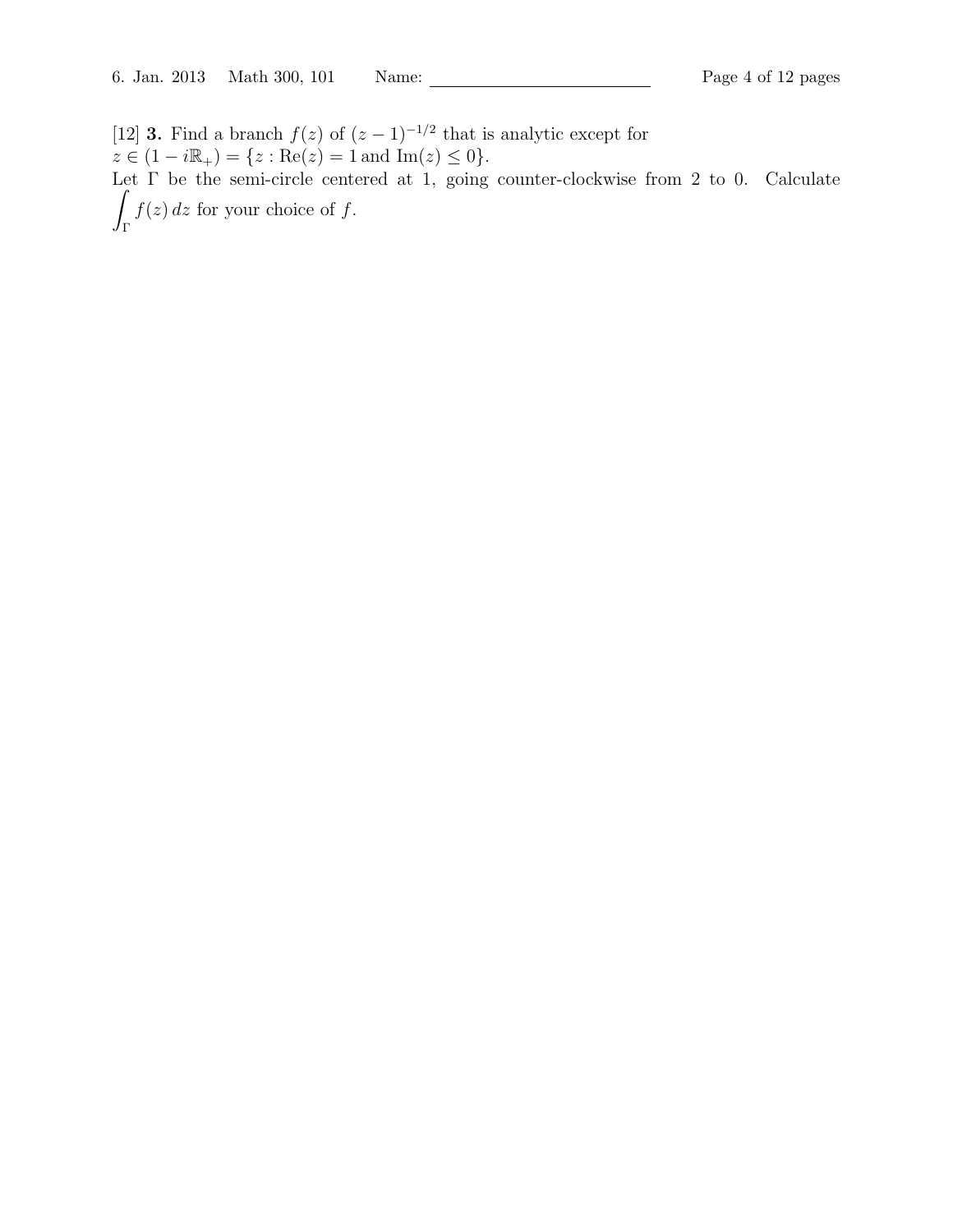[12] **3.** Find a branch  $f(z)$  of  $(z-1)^{-1/2}$  that is analytic except for  $z \in (1 - i\mathbb{R}_+) = \{z : \text{Re}(z) = 1 \text{ and } \text{Im}(z) \leq 0\}.$ Let  $\Gamma$  be the semi-circle centered at 1, going counter-clockwise from 2 to 0. Calculate Z

Γ  $f(z)$  dz for your choice of f.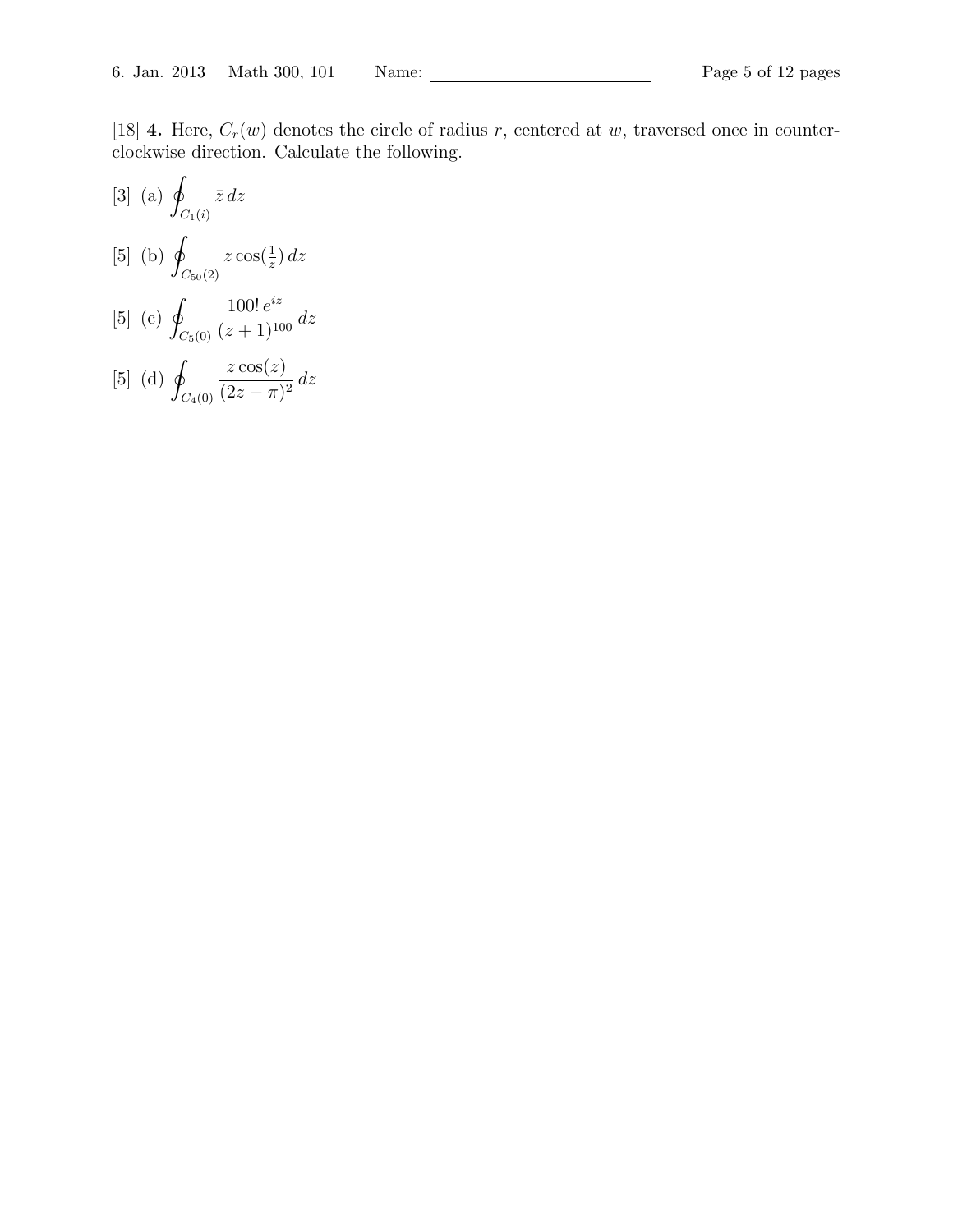[18] 4. Here,  $C_r(w)$  denotes the circle of radius r, centered at w, traversed once in counterclockwise direction. Calculate the following.

[3] (a) 
$$
\oint_{C_1(i)} \bar{z} dz
$$
  
\n[5] (b)  $\oint_{C_{50}(2)} z \cos(\frac{1}{z}) dz$   
\n[5] (c)  $\oint_{C_5(0)} \frac{100! e^{iz}}{(z+1)^{100}} dz$ 

[5] (d) 
$$
\oint_{C_4(0)} \frac{z \cos(z)}{(2z - \pi)^2} dz
$$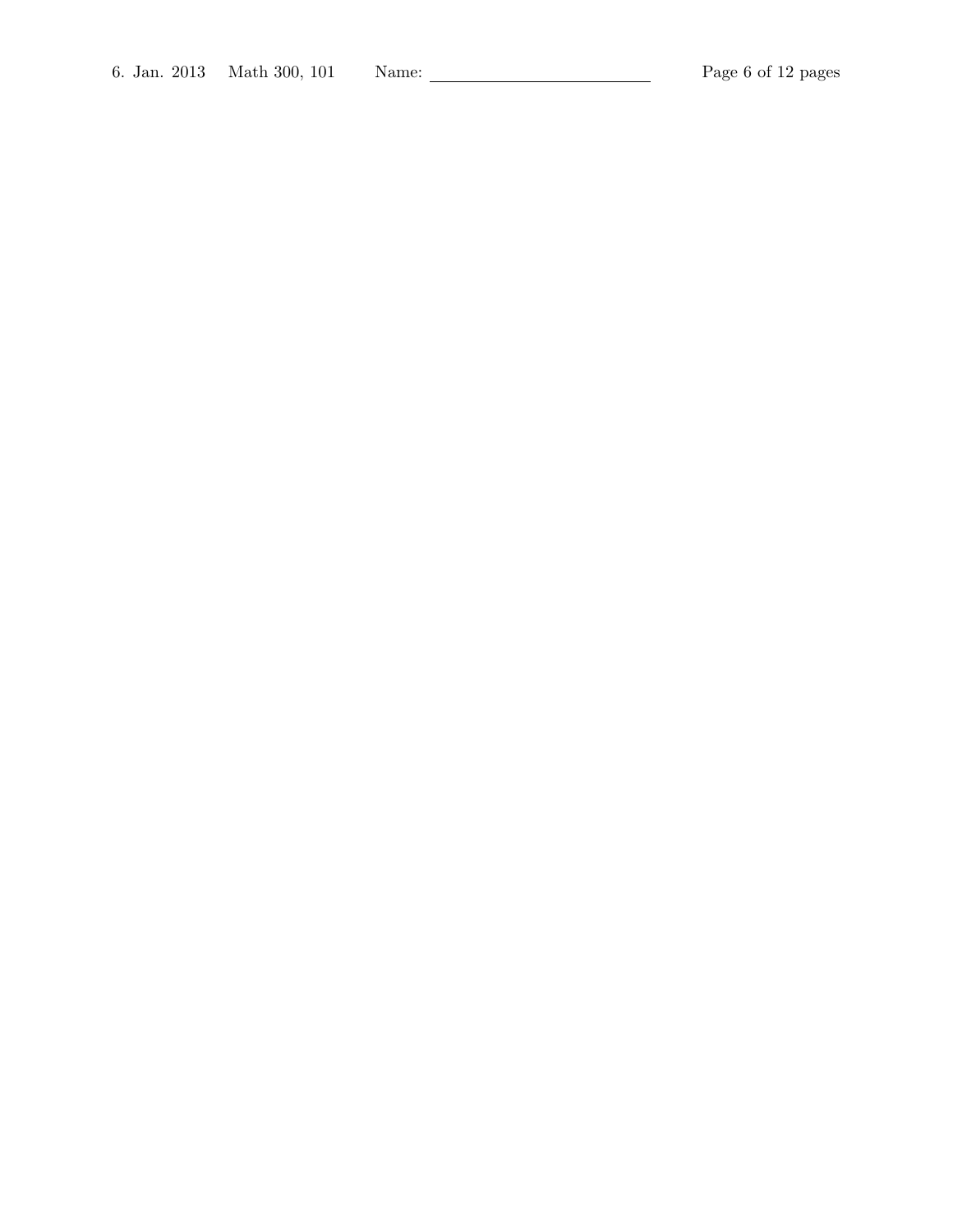6. Jan. 2013 Math 300, 101 Name: Page 6 of 12 pages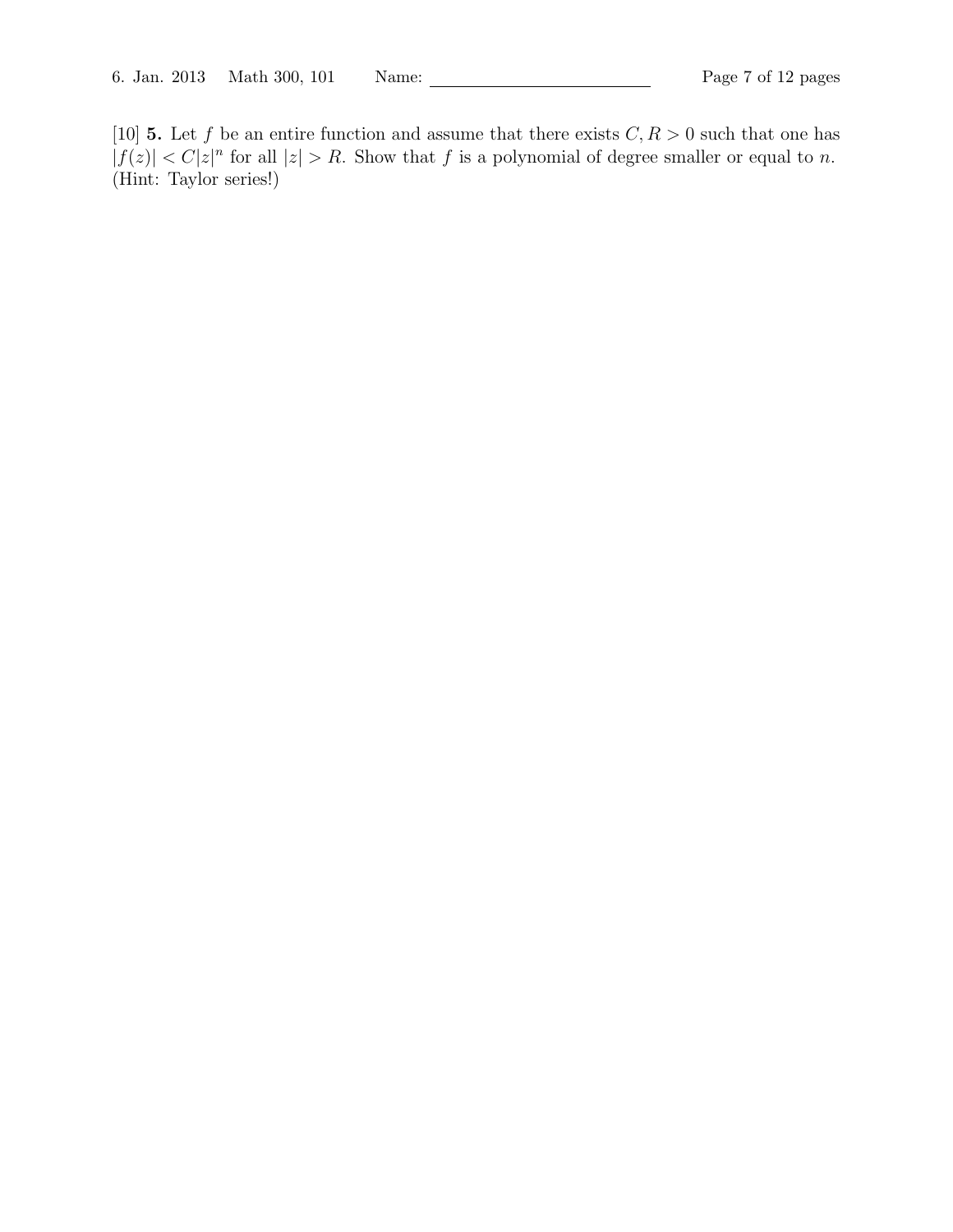[10] **5.** Let f be an entire function and assume that there exists  $C, R > 0$  such that one has  $|f(z)| < C|z|^n$  for all  $|z| > R$ . Show that f is a polynomial of degree smaller or equal to n. (Hint: Taylor series!)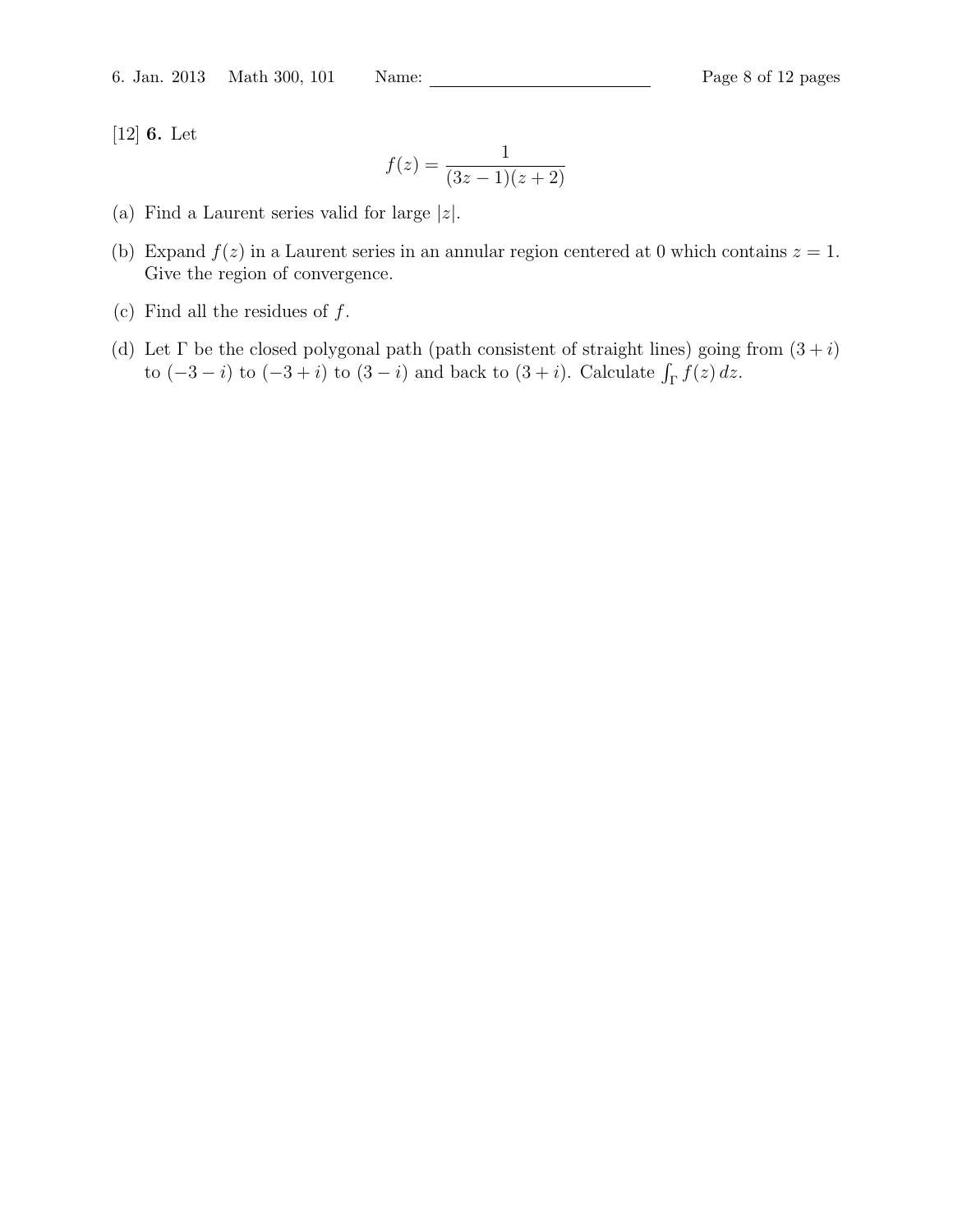6. Jan. 2013 Math 300, 101 Name: Page 8 of 12 pages

[12] 6. Let

$$
f(z) = \frac{1}{(3z - 1)(z + 2)}
$$

- (a) Find a Laurent series valid for large  $|z|$ .
- (b) Expand  $f(z)$  in a Laurent series in an annular region centered at 0 which contains  $z = 1$ . Give the region of convergence.
- (c) Find all the residues of  $f$ .
- (d) Let  $\Gamma$  be the closed polygonal path (path consistent of straight lines) going from  $(3 + i)$ to  $(-3-i)$  to  $(-3+i)$  to  $(3-i)$  and back to  $(3+i)$ . Calculate  $\int_{\Gamma} f(z) dz$ .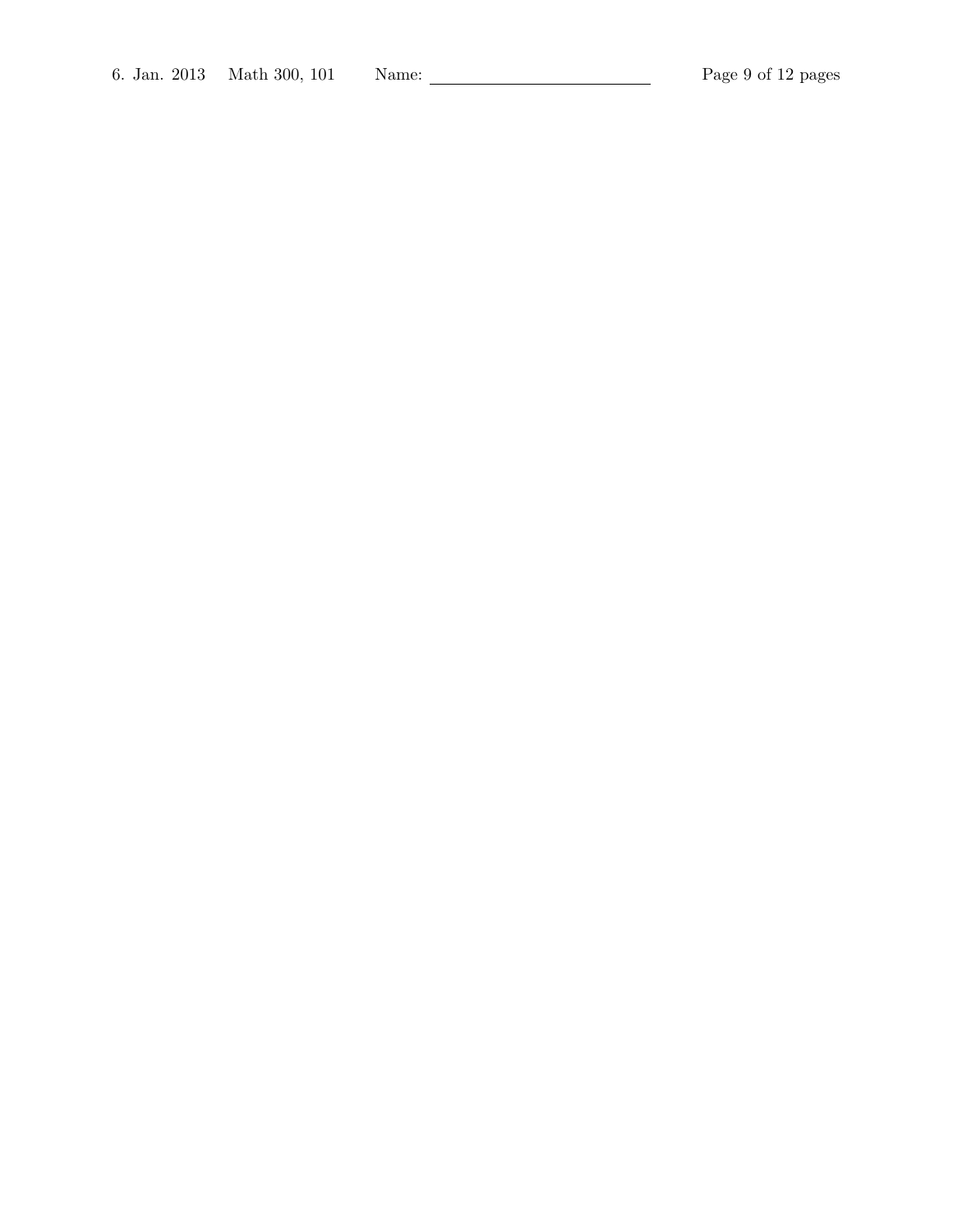6. Jan. 2013 Math 300, 101 Name: Page 9 of 12 pages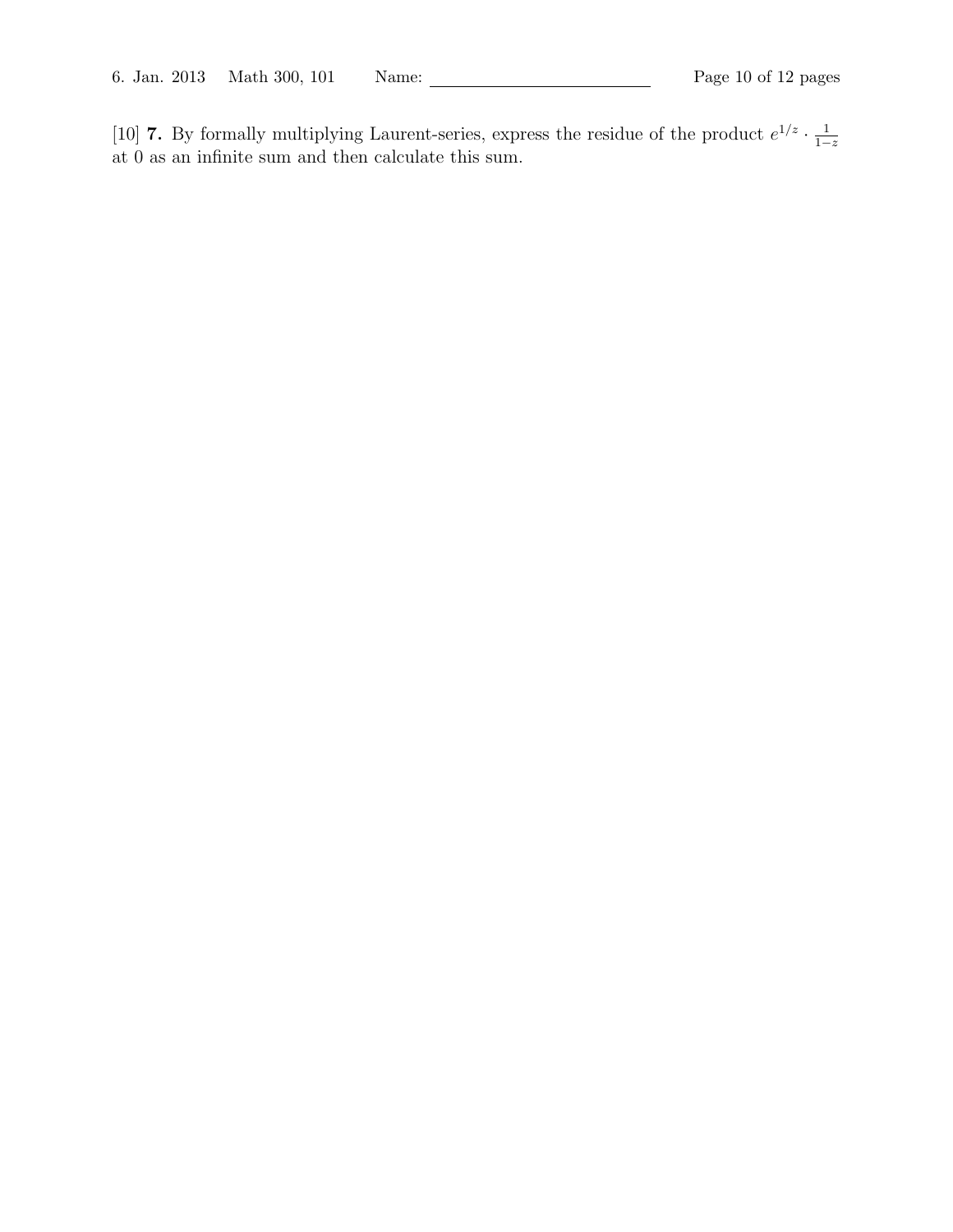[10] **7.** By formally multiplying Laurent-series, express the residue of the product  $e^{1/z} \cdot \frac{1}{1-z}$  $1-\alpha$  at 0 as an infinite sum and then calculate this sum.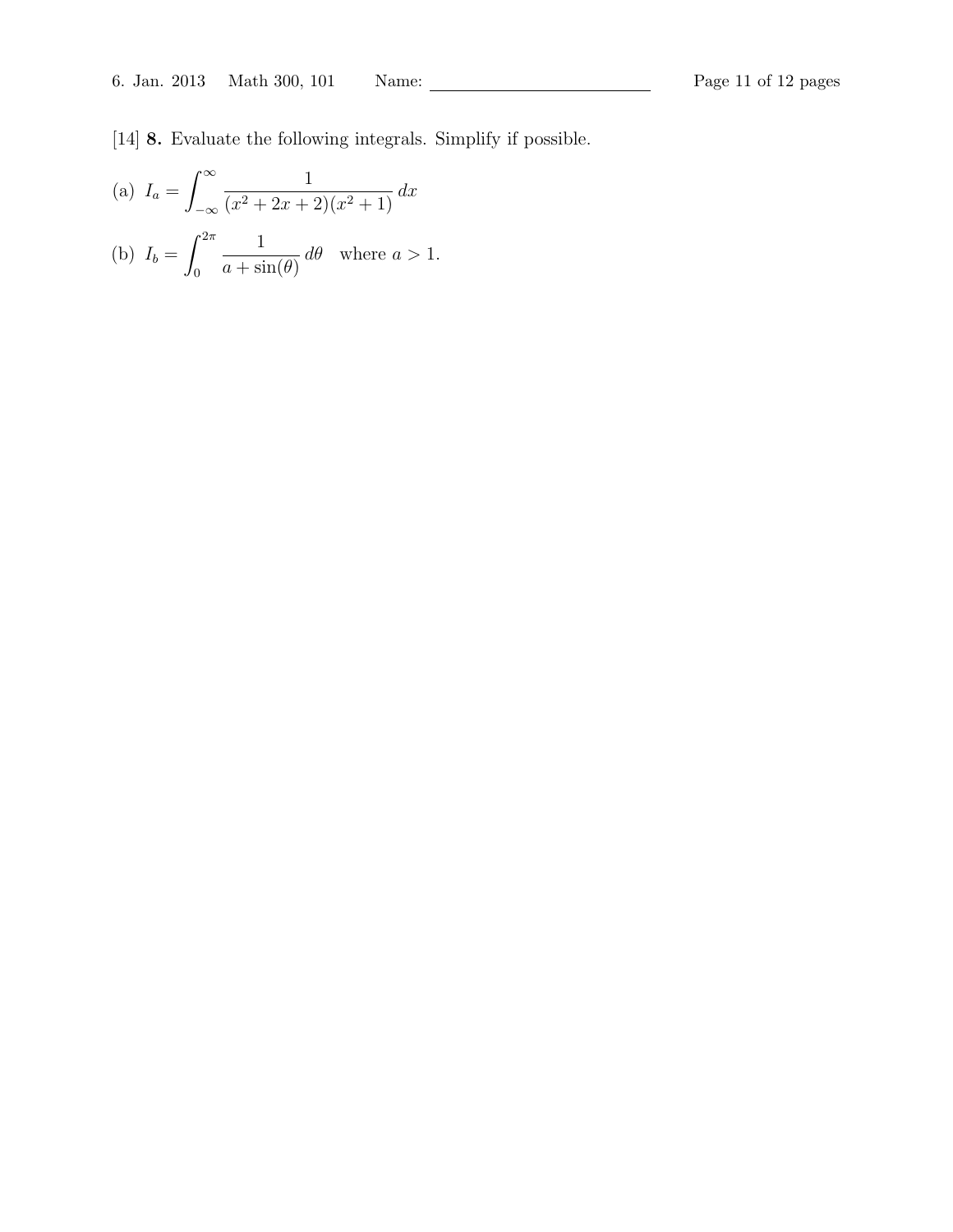[14] 8. Evaluate the following integrals. Simplify if possible.

(a) 
$$
I_a = \int_{-\infty}^{\infty} \frac{1}{(x^2 + 2x + 2)(x^2 + 1)} dx
$$

(b) 
$$
I_b = \int_0^{2\pi} \frac{1}{a + \sin(\theta)} d\theta
$$
 where  $a > 1$ .